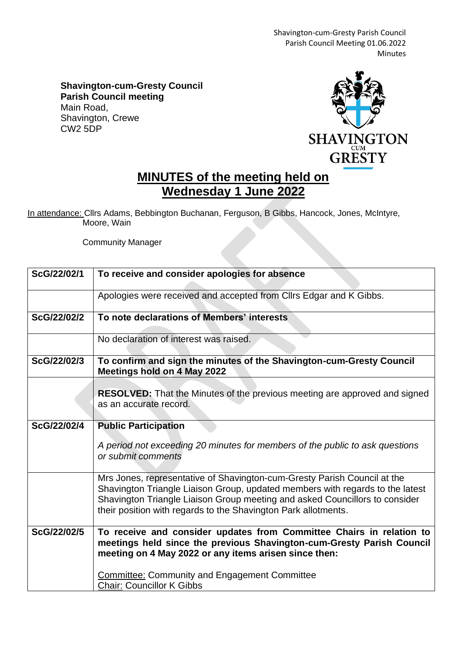Shavington-cum-Gresty Parish Council Parish Council Meeting 01.06.2022 Minutes

**Shavington-cum-Gresty Council Parish Council meeting** Main Road, Shavington, Crewe CW2 5DP



## **MINUTES of the meeting held on Wednesday 1 June 2022**

In attendance: Cllrs Adams, Bebbington Buchanan, Ferguson, B Gibbs, Hancock, Jones, McIntyre, Moore, Wain

Community Manager

| ScG/22/02/1 | To receive and consider apologies for absence                                                                                                                                                                                                                                                              |
|-------------|------------------------------------------------------------------------------------------------------------------------------------------------------------------------------------------------------------------------------------------------------------------------------------------------------------|
|             | Apologies were received and accepted from Cllrs Edgar and K Gibbs.                                                                                                                                                                                                                                         |
| ScG/22/02/2 | To note declarations of Members' interests                                                                                                                                                                                                                                                                 |
|             | No declaration of interest was raised.                                                                                                                                                                                                                                                                     |
| ScG/22/02/3 | To confirm and sign the minutes of the Shavington-cum-Gresty Council<br><b>Meetings hold on 4 May 2022</b>                                                                                                                                                                                                 |
|             | <b>RESOLVED:</b> That the Minutes of the previous meeting are approved and signed<br>as an accurate record.                                                                                                                                                                                                |
| ScG/22/02/4 | <b>Public Participation</b>                                                                                                                                                                                                                                                                                |
|             | A period not exceeding 20 minutes for members of the public to ask questions<br>or submit comments                                                                                                                                                                                                         |
|             | Mrs Jones, representative of Shavington-cum-Gresty Parish Council at the<br>Shavington Triangle Liaison Group, updated members with regards to the latest<br>Shavington Triangle Liaison Group meeting and asked Councillors to consider<br>their position with regards to the Shavington Park allotments. |
| ScG/22/02/5 | To receive and consider updates from Committee Chairs in relation to<br>meetings held since the previous Shavington-cum-Gresty Parish Council<br>meeting on 4 May 2022 or any items arisen since then:                                                                                                     |
|             | <b>Committee: Community and Engagement Committee</b><br><b>Chair: Councillor K Gibbs</b>                                                                                                                                                                                                                   |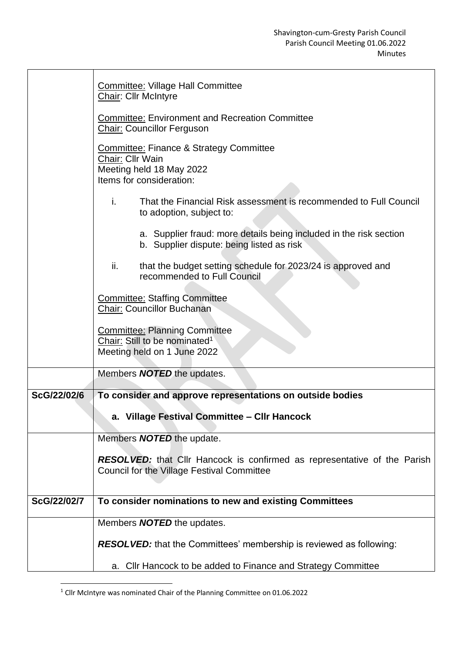|             | <b>Committee: Village Hall Committee</b><br>Chair: Cllr McIntyre                                                               |
|-------------|--------------------------------------------------------------------------------------------------------------------------------|
|             | <b>Committee: Environment and Recreation Committee</b><br><b>Chair: Councillor Ferguson</b>                                    |
|             | <b>Committee: Finance &amp; Strategy Committee</b><br>Chair: Cllr Wain<br>Meeting held 18 May 2022<br>Items for consideration: |
|             | i.<br>That the Financial Risk assessment is recommended to Full Council<br>to adoption, subject to:                            |
|             | a. Supplier fraud: more details being included in the risk section<br>b. Supplier dispute: being listed as risk                |
|             | that the budget setting schedule for 2023/24 is approved and<br>ii.<br>recommended to Full Council                             |
|             | <b>Committee: Staffing Committee</b><br><b>Chair: Councillor Buchanan</b>                                                      |
|             | <b>Committee: Planning Committee</b><br>Chair: Still to be nominated <sup>1</sup><br>Meeting held on 1 June 2022               |
|             | Members <b>NOTED</b> the updates.                                                                                              |
| ScG/22/02/6 | To consider and approve representations on outside bodies                                                                      |
|             | a. Village Festival Committee - CIIr Hancock                                                                                   |
|             | Members <b>NOTED</b> the update.                                                                                               |
|             | <b>RESOLVED:</b> that Cllr Hancock is confirmed as representative of the Parish<br>Council for the Village Festival Committee  |
| ScG/22/02/7 | To consider nominations to new and existing Committees                                                                         |
|             | Members <b>NOTED</b> the updates.                                                                                              |
|             | <b>RESOLVED:</b> that the Committees' membership is reviewed as following:                                                     |
|             | a. Cllr Hancock to be added to Finance and Strategy Committee                                                                  |

<sup>1</sup> Cllr McIntyre was nominated Chair of the Planning Committee on 01.06.2022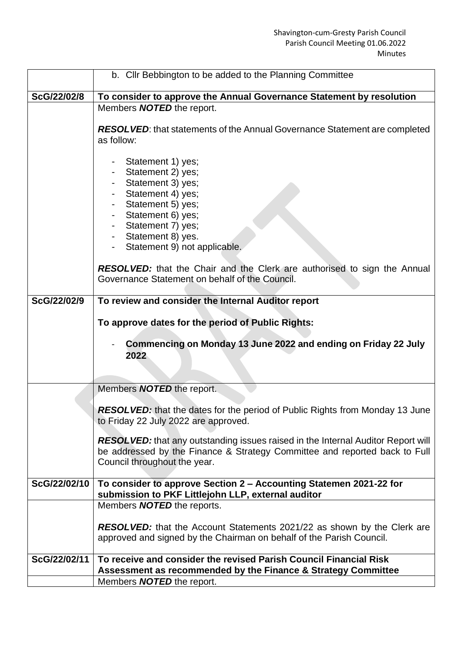|              | b. Cllr Bebbington to be added to the Planning Committee                                                                                                                                              |
|--------------|-------------------------------------------------------------------------------------------------------------------------------------------------------------------------------------------------------|
| ScG/22/02/8  | To consider to approve the Annual Governance Statement by resolution                                                                                                                                  |
|              | Members <b>NOTED</b> the report.                                                                                                                                                                      |
|              |                                                                                                                                                                                                       |
|              | <b>RESOLVED:</b> that statements of the Annual Governance Statement are completed                                                                                                                     |
|              | as follow:                                                                                                                                                                                            |
|              | Statement 1) yes;<br>Statement 2) yes;<br>Statement 3) yes;<br>Statement 4) yes;<br>Statement 5) yes;<br>Statement 6) yes;<br>Statement 7) yes;<br>Statement 8) yes.<br>Statement 9) not applicable.  |
|              | <b>RESOLVED:</b> that the Chair and the Clerk are authorised to sign the Annual<br>Governance Statement on behalf of the Council.                                                                     |
| ScG/22/02/9  | To review and consider the Internal Auditor report                                                                                                                                                    |
|              |                                                                                                                                                                                                       |
|              | To approve dates for the period of Public Rights:                                                                                                                                                     |
|              | Commencing on Monday 13 June 2022 and ending on Friday 22 July<br>2022                                                                                                                                |
|              | Members <b>NOTED</b> the report.                                                                                                                                                                      |
|              | <b>RESOLVED:</b> that the dates for the period of Public Rights from Monday 13 June                                                                                                                   |
|              | to Friday 22 July 2022 are approved.                                                                                                                                                                  |
|              |                                                                                                                                                                                                       |
|              | <b>RESOLVED:</b> that any outstanding issues raised in the Internal Auditor Report will<br>be addressed by the Finance & Strategy Committee and reported back to Full<br>Council throughout the year. |
| ScG/22/02/10 | To consider to approve Section 2 - Accounting Statemen 2021-22 for                                                                                                                                    |
|              | submission to PKF Littlejohn LLP, external auditor                                                                                                                                                    |
|              | Members <b>NOTED</b> the reports.                                                                                                                                                                     |
|              |                                                                                                                                                                                                       |
|              | <b>RESOLVED:</b> that the Account Statements 2021/22 as shown by the Clerk are<br>approved and signed by the Chairman on behalf of the Parish Council.                                                |
| ScG/22/02/11 | To receive and consider the revised Parish Council Financial Risk                                                                                                                                     |
|              | Assessment as recommended by the Finance & Strategy Committee                                                                                                                                         |
|              | Members <b>NOTED</b> the report.                                                                                                                                                                      |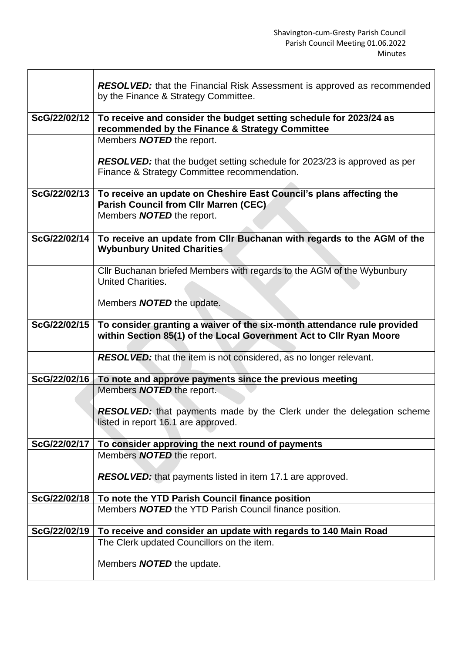|              | <b>RESOLVED:</b> that the Financial Risk Assessment is approved as recommended<br>by the Finance & Strategy Committee.                         |
|--------------|------------------------------------------------------------------------------------------------------------------------------------------------|
| ScG/22/02/12 | To receive and consider the budget setting schedule for 2023/24 as<br>recommended by the Finance & Strategy Committee                          |
|              | Members <b>NOTED</b> the report.                                                                                                               |
|              | <b>RESOLVED:</b> that the budget setting schedule for 2023/23 is approved as per<br>Finance & Strategy Committee recommendation.               |
| ScG/22/02/13 | To receive an update on Cheshire East Council's plans affecting the<br><b>Parish Council from CIIr Marren (CEC)</b>                            |
|              | Members <b>NOTED</b> the report.                                                                                                               |
| ScG/22/02/14 | To receive an update from Cllr Buchanan with regards to the AGM of the<br><b>Wybunbury United Charities</b>                                    |
|              | Cllr Buchanan briefed Members with regards to the AGM of the Wybunbury<br>United Charities.                                                    |
|              | Members <b>NOTED</b> the update.                                                                                                               |
| ScG/22/02/15 | To consider granting a waiver of the six-month attendance rule provided<br>within Section 85(1) of the Local Government Act to Cllr Ryan Moore |
|              | <b>RESOLVED:</b> that the item is not considered, as no longer relevant.                                                                       |
| ScG/22/02/16 | To note and approve payments since the previous meeting                                                                                        |
|              | Members <b>NOTED</b> the report.                                                                                                               |
|              | <b>RESOLVED:</b> that payments made by the Clerk under the delegation scheme<br>listed in report 16.1 are approved.                            |
| ScG/22/02/17 | To consider approving the next round of payments                                                                                               |
|              | Members <b>NOTED</b> the report.                                                                                                               |
|              | <b>RESOLVED:</b> that payments listed in item 17.1 are approved.                                                                               |
| ScG/22/02/18 | To note the YTD Parish Council finance position                                                                                                |
|              | Members <b>NOTED</b> the YTD Parish Council finance position.                                                                                  |
| ScG/22/02/19 | To receive and consider an update with regards to 140 Main Road                                                                                |
|              | The Clerk updated Councillors on the item.                                                                                                     |
|              | Members <b>NOTED</b> the update.                                                                                                               |

**r**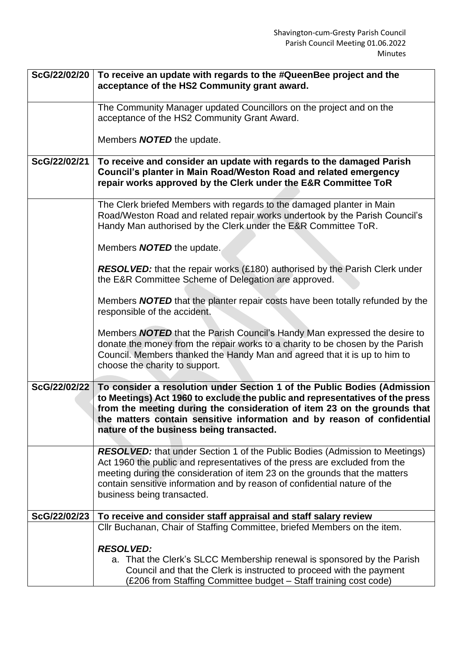| ScG/22/02/20 | To receive an update with regards to the #QueenBee project and the<br>acceptance of the HS2 Community grant award.                                                                                                                                                                                                                                          |
|--------------|-------------------------------------------------------------------------------------------------------------------------------------------------------------------------------------------------------------------------------------------------------------------------------------------------------------------------------------------------------------|
|              | The Community Manager updated Councillors on the project and on the                                                                                                                                                                                                                                                                                         |
|              | acceptance of the HS2 Community Grant Award.                                                                                                                                                                                                                                                                                                                |
|              | Members <b>NOTED</b> the update.                                                                                                                                                                                                                                                                                                                            |
| ScG/22/02/21 | To receive and consider an update with regards to the damaged Parish<br>Council's planter in Main Road/Weston Road and related emergency<br>repair works approved by the Clerk under the E&R Committee ToR                                                                                                                                                  |
|              | The Clerk briefed Members with regards to the damaged planter in Main<br>Road/Weston Road and related repair works undertook by the Parish Council's<br>Handy Man authorised by the Clerk under the E&R Committee ToR.                                                                                                                                      |
|              | Members <b>NOTED</b> the update.                                                                                                                                                                                                                                                                                                                            |
|              | <b>RESOLVED:</b> that the repair works (£180) authorised by the Parish Clerk under<br>the E&R Committee Scheme of Delegation are approved.                                                                                                                                                                                                                  |
|              | Members <b>NOTED</b> that the planter repair costs have been totally refunded by the<br>responsible of the accident.                                                                                                                                                                                                                                        |
|              | Members <b>NOTED</b> that the Parish Council's Handy Man expressed the desire to<br>donate the money from the repair works to a charity to be chosen by the Parish<br>Council. Members thanked the Handy Man and agreed that it is up to him to<br>choose the charity to support.                                                                           |
| ScG/22/02/22 | To consider a resolution under Section 1 of the Public Bodies (Admission<br>to Meetings) Act 1960 to exclude the public and representatives of the press<br>from the meeting during the consideration of item 23 on the grounds that<br>the matters contain sensitive information and by reason of confidential<br>nature of the business being transacted. |
|              | <b>RESOLVED:</b> that under Section 1 of the Public Bodies (Admission to Meetings)<br>Act 1960 the public and representatives of the press are excluded from the<br>meeting during the consideration of item 23 on the grounds that the matters<br>contain sensitive information and by reason of confidential nature of the<br>business being transacted.  |
| ScG/22/02/23 | To receive and consider staff appraisal and staff salary review                                                                                                                                                                                                                                                                                             |
|              | CIIr Buchanan, Chair of Staffing Committee, briefed Members on the item.                                                                                                                                                                                                                                                                                    |
|              | <b>RESOLVED:</b><br>a. That the Clerk's SLCC Membership renewal is sponsored by the Parish<br>Council and that the Clerk is instructed to proceed with the payment<br>(£206 from Staffing Committee budget – Staff training cost code)                                                                                                                      |